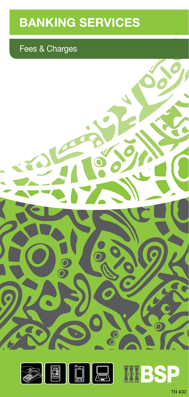# **BANKING SERVICES**

# Fees & Charges



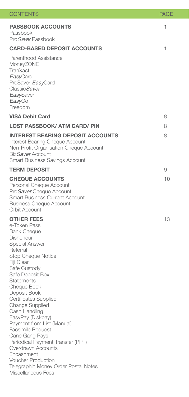| <b>CONTENTS</b>                                                                                                                                                                                                                                                                                                                                                                                                                                                                                                                                                  | PAGE |
|------------------------------------------------------------------------------------------------------------------------------------------------------------------------------------------------------------------------------------------------------------------------------------------------------------------------------------------------------------------------------------------------------------------------------------------------------------------------------------------------------------------------------------------------------------------|------|
| <b>PASSBOOK ACCOUNTS</b><br>Passbook<br>Pro <i>Saver</i> Passbook                                                                                                                                                                                                                                                                                                                                                                                                                                                                                                | 1    |
| <b>CARD-BASED DEPOSIT ACCOUNTS</b>                                                                                                                                                                                                                                                                                                                                                                                                                                                                                                                               | 1    |
| Parenthood Assistance<br>MoneyZONE<br>TranXact<br><i>Easy</i> Card<br>ProSaver EasyCard<br>Classic Saver<br><b>EasySaver</b><br>EasyGo<br>Freedom                                                                                                                                                                                                                                                                                                                                                                                                                |      |
| <b>VISA Debit Card</b>                                                                                                                                                                                                                                                                                                                                                                                                                                                                                                                                           | 8    |
| <b>LOST PASSBOOK/ ATM CARD/ PIN</b>                                                                                                                                                                                                                                                                                                                                                                                                                                                                                                                              | 8    |
| <b>INTEREST BEARING DEPOSIT ACCOUNTS</b><br>Interest Bearing Cheque Account<br>Non-Profit Organisation Cheque Account<br>Biz Saver Account<br><b>Smart Business Savings Account</b>                                                                                                                                                                                                                                                                                                                                                                              | 8    |
| <b>TERM DEPOSIT</b>                                                                                                                                                                                                                                                                                                                                                                                                                                                                                                                                              | 9    |
| <b>CHEQUE ACCOUNTS</b><br>Personal Cheque Account<br>ProSaver Cheque Account<br><b>Smart Business Current Account</b><br><b>Business Cheque Account</b><br>Orbit Account                                                                                                                                                                                                                                                                                                                                                                                         | 10   |
| <b>OTHER FEES</b><br>e-Token Pass<br><b>Bank Cheque</b><br>Dishonour<br>Special Answer<br>Referral<br>Stop Cheque Notice<br>Fiji Clear<br>Safe Custody<br>Safe Deposit Box<br><b>Statements</b><br>Cheque Book<br>Deposit Book<br>Certificates Supplied<br>Change Supplied<br>Cash Handling<br>EasyPay (Diskpay)<br>Payment from List (Manual)<br><b>Facsimile Request</b><br>Cane Gang Pays<br>Periodical Payment Transfer (PPT)<br>Overdrawn Accounts<br>Encashment<br><b>Voucher Production</b><br>Telegraphic Money Order Postal Notes<br>Miscellaneous Fees | 13   |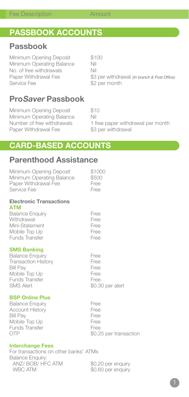# **PASSBOOK ACCOUNTS**

## **Passbook**

Minimum Opening Deposit \$100 Minimum Operating Balance Nil No. of free withdrawals Nil<br>Paper Withdrawal Fee \$3

Paper Withdrawal Fee \$3 per withdrawal (In branch & Post Office)<br>Service Fee \$2 per month \$2 per month

# **ProSaver Passbook**

Minimum Opening Deposit \$10<br>Minimum Operating Balance Nil Minimum Operating Balance Paper Withdrawal Fee \$3 per withdrawal

Number of free withdrawals 1 free paper withdrawal per month

# **CARD-BASED ACCOUNTS**

# **Parenthood Assistance**

| Minimum Opening Deposit<br>Minimum Operating Balance<br>Paper Withdrawal Fee<br>Service Fee | \$1000<br>\$500<br>Free<br>Free |
|---------------------------------------------------------------------------------------------|---------------------------------|
| <b>Electronic Transactions</b><br><b>ATM</b>                                                |                                 |
| <b>Balance Enguiry</b>                                                                      | Free                            |
| Withdrawal                                                                                  | Free                            |
| Mini-Statement                                                                              | Free                            |
| Mobile Top Up                                                                               | Free                            |
| <b>Funds Transfer</b>                                                                       | Free                            |
| <b>SMS Banking</b>                                                                          |                                 |
| <b>Balance Enquiry</b>                                                                      | Free                            |
| <b>Transaction History</b>                                                                  | Free                            |
| <b>Bill Pay</b>                                                                             | Free                            |
| Mobile Top Up                                                                               | Free                            |
| Funds Transfer<br><b>SMS Alert</b>                                                          | Free                            |
|                                                                                             | \$0.30 per alert                |
| <b>BSP Online Plus</b>                                                                      |                                 |
| <b>Balance Enquiry</b>                                                                      | Free                            |
| <b>Account History</b>                                                                      | Free                            |
| <b>Bill Pay</b><br>Mobile Top Up                                                            | Free<br>Free                    |
| Funds Transfer                                                                              | Free                            |
| <b>OTP</b>                                                                                  | \$0.25 per transaction          |
| <b>Interchange Fees</b>                                                                     |                                 |

For transactions on other banks' ATMs Balance Enquiry: ANZ/ BOB/ HFC ATM  $$0.20$  per enquiry<br>WBC ATM  $$0.60$  per enquiry

\$0.60 per enquiry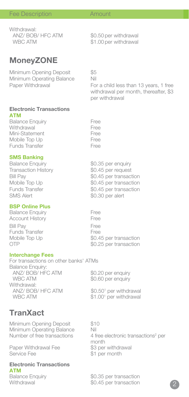\$1.00 per withdrawal

### Fee Description **Amount**

Withdrawal:<br>ANZ/ BOB/ HFC ATM ANZ/ BOB/ HFC ATM \$0.50 per withdrawal<br>WBC ATM \$1.00 per withdrawal

**MoneyZONE**

Minimum Opening Deposit<br>Minimum Operating Balance — Nil Minimum Operating Balance<br>Paper Withdrawal

For a child less than 13 years, 1 free withdrawal per month, thereafter, \$3 per withdrawal

#### **Electronic Transactions ATM**

| <b>Balance Enguiry</b> | Free |
|------------------------|------|
| Withdrawal             | Free |
| Mini-Statement         | Free |
| Mobile Top Up          | Free |
| <b>Funds Transfer</b>  | Free |

#### **SMS Banking**

| <b>Balance Enquiry</b>     | \$0.35 per enquiry     |
|----------------------------|------------------------|
| <b>Transaction History</b> | \$0.45 per request     |
| Bill Pav                   | \$0.45 per transaction |
| Mobile Top Up              | \$0.45 per transaction |
| Funds Transfer             | \$0.45 per transaction |
| SMS Alert                  | \$0.30 per alert       |
|                            |                        |

#### **BSP Online Plus**

Balance Enquiry<br>Account History<br>Free Account History Bill Pay<br>Funds Transfer Free Funds Transfer<br>Mobile Top Up Mobile Top Up  $$0.45$  per transaction<br>OTP  $$0.25$  per transaction

### **Interchange Fees**

For transactions on other banks' ATMs Balance Enquiry: ANZ/ BOB/ HFC ATM \$0.20 per enquiry WBC ATM  $$0.60$  per enquiry Withdrawal: ANZ/ BOB/ HFC ATM  $$0.50<sup>1</sup>$  per withdrawal WBC ATM \$1.00<sup>1</sup> per withdrawal

**TranXact**

Minimum Opening Deposit \$10 Minimum Operating Balance Nil<br>Number of free transactions 4 fi

Paper Withdrawal Fee<br>Service Fee

#### **Electronic Transactions ATM**

Number of free transactions 4 free electronic transactions<sup>2</sup> per month<br>\$3 per withdrawal \$1 per month

Balance Enquiry \$0.35 per transaction Withdrawal  $$0.45$  per transaction

\$0.25 per transaction

2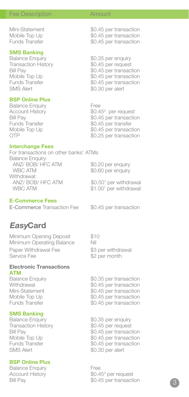# **SMS Banking**<br>Balance Enquiry

Balance Enquiry 60.35 per enquiry<br>Transaction History 60.45 per request Transaction History \$0.45 per request<br>Bill Pav \$0.45 per transac

#### **BSP Online Plus**

Balance Enquiry **Free** Account History<br>Bill Pav

#### **Interchange Fees**

For transactions on other banks' ATMs Balance Enquiry: ANZ/ BOB/ HFC ATM \$0.20 per enquiry<br>WBC ATM \$0.60 per enquiry \$0.60 per enquiry Withdrawal: ANZ/ BOB/ HFC ATM \$0.50<sup>1</sup> per withdrawal WBC ATM \$1.00<sup>1</sup> per withdrawal

#### **E-Commerce Fees**

E-Commerce Transaction Fee \$0.45 per transaction

## **EasyCard**

Minimum Opening Deposit \$10 Minimum Operating Balance Nil Paper Withdrawal Fee  $$3$  per withdrawal<br>Service Fee  $$2$  per month

#### **Electronic Transactions ATM**

# **SMS Banking**<br>Balance Enquiry

Transaction History<br>Bill Pay SMS Alert \$0.30 per alert

#### **BSP Online Plus**

Balance Enquiry **Free** Account History

\$2 per month

Balance Enquiry \$0.35 per transaction Withdrawal \$0.45 per transaction<br>Mini-Statement \$0.45 per transaction \$0.45 per transaction Mobile Top Up \$0.45 per transaction Funds Transfer  $$0.45$  per transaction

\$0.35 per enquiry<br>\$0.45 per request Bill Pay  $$0.45$  per transaction<br>Mobile Top Up  $$0.45$  per transaction Mobile Top Up  $$0.45$  per transaction<br>Funds Transfer  $$0.45$  per transaction \$0.45 per transaction

Mini-Statement \$0.45 per transaction<br>Mobile Top Up \$0.45 per transaction Mobile Top Up  $$0.45$  per transaction<br>Funds Transfer  $$0.45$  per transaction \$0.45 per transaction

Bill Pay \$0.45 per transaction Mobile Top Up  $$0.45$  per transaction<br>Funds Transfer  $$0.45$  per transaction Funds Transfer \$0.45 per transaction<br>SMS Alert \$0.30 per alert \$0.30 per alert

\$0.45<sup>3</sup> per request Bill Pay **1988**<br>
Eunds Transfer<br>
\$0.45 per transfer Funds Transfer \$0.45 per transfer Mobile Top Up  $$0.45$  per transaction<br>OTP  $$0.25$  per transaction \$0.25 per transaction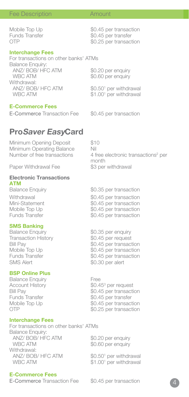#### **Interchange Fees**

For transactions on other banks' ATMs Balance Enquiry: ANZ/ BOB/ HFC ATM  $$0.20$  per enquiry<br>WBC ATM  $$0.60$  per enquiry Withdrawal: ANZ/ BOB/ HFC ATM WBC ATM

#### **E-Commerce Fees**

E-Commerce Transaction Fee \$0.45 per transaction

Mobile Top Up  $$0.45$  per transaction<br>Funds Transfer  $$0.45$  per transfer Funds Transfer<br>
OTP<br>
So 25 per transac \$0.25 per transaction

\$0.60 per enquiry

 $$0.50<sup>1</sup>$  per withdrawal  $$1.00<sup>1</sup>$  per withdrawal

**ProSaver EasyCard** Minimum Opening Deposit \$10 Minimum Operating Balance Nil<br>Number of free transactions 4 f Number of free transactions 4 free electronic transactions<sup>2</sup> per month<br>\$3 per withdrawal Paper Withdrawal Fee **Electronic Transactions ATM**<br>**Balance Enquiry** \$0.35 per transaction Withdrawal \$0.45 per transaction<br>Mini-Statement \$0.45 per transaction Mini-Statement \$0.45 per transaction Mobile Top Up  $$0.45$  per transaction<br>Funds Transfer  $$0.45$  per transaction \$0.45 per transaction **SMS Banking**<br>Balance Enquiry \$0.35 per enquiry<br>\$0.45 per request Transaction History<br>Bill Pay Bill Pay \$0.45 per transaction Mobile Top Up  $$0.45$  per transaction<br>Funds Transfer  $$0.45$  per transaction \$0.45 per transaction SMS Alert \$0.30 per alert **BSP Online Plus** Balance Enquiry **Free** Account History<br>Bill Pav  $$0.45$ <sup>3</sup> per request Bill Pay<br>Funds Transfer Funds S0.45 per transfer<br>\$0.45 per transfer

Funds Transfer \$0.45 per transfer<br>Mobile Top Up \$0.45 per transac Mobile Top Up  $$0.45$  per transaction<br>OTP  $$0.25$  per transaction

#### **Interchange Fees**

For transactions on other banks' ATMs Balance Enquiry: ANZ/ BOB<sup>'</sup> HFC ATM \$0.20 per enquiry<br>WBC ATM \$0.60 per enquiry Withdrawal: ANZ/ BOB/ HFC ATM WBC ATM

#### **E-Commerce Fees**

E-Commerce Transaction Fee \$0.45 per transaction

\$0.60 per enquiry

\$0.50<sup>1</sup> per withdrawal  $$1.00<sup>1</sup>$  per withdrawal

\$0.25 per transaction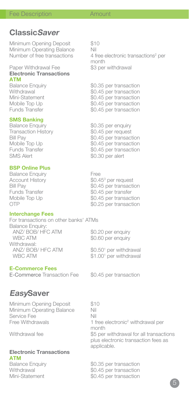# **ClassicSaver**

Minimum Opening Deposit \$10<br>Minimum Operating Balance Nil Minimum Operating Balance<br>Number of free transactions

Paper Withdrawal Fee \$3 per withdrawal **Electronic Transactions**

**ATM**<br>Balance Enquiry

# **SMS Banking**<br>Balance Enquiry

Transaction History<br>Bill Pay

#### **BSP Online Plus**

Balance Enquiry **Free** Account History<br>Bill Pav

### **Interchange Fees**

For transactions on other banks' ATMs Balance Enquiry: ANZ/ BOB/ HFC ATM  $$0.20$  per enquiry<br>WBC ATM  $$0.60$  per enquiry Withdrawal: ANZ/ BOB/ HFC ATM WBC ATM

#### **E-Commerce Fees**

E-Commerce Transaction Fee \$0.45 per transaction

Number of free transactions 4 free electronic transactions<sup>2</sup> per month

Balance Enquiry  $$0.35$  per transaction<br>Withdrawal  $$0.45$  per transaction Withdrawal  $$0.45$  per transaction<br>Mini-Statement  $$0.45$  per transaction Mini-Statement \$0.45 per transaction<br>Mobile Top Up \$0.45 per transaction Mobile Top Up  $$0.45$  per transaction<br>Funds Transfer  $$0.45$  per transaction \$0.45 per transaction

\$0.35 per enquiry<br>\$0.45 per request Bill Pay  $\begin{array}{cc} 50.45 \text{ per transaction} \\ \text{Mobile Top Up} \end{array}$  50.45 per transaction Mobile Top Up  $$0.45$  per transaction<br>Funds Transfer  $$0.45$  per transaction Funds Transfer  $$0.45$  per transaction<br>SMS Alert  $$0.30$  per alert \$0.30 per alert

\$0.45<sup>3</sup> per request Bill Pay<br>Funds Transfer<br>So 45 per transfer<br>So 45 per transfer Funds Transfer \$0.45 per transfer Mobile Top Up  $$0.45$  per transaction<br>OTP  $$0.25$  per transaction \$0.25 per transaction

\$0.60 per enquiry

 $$0.50<sup>1</sup>$  per withdrawal  $$1.00<sup>1</sup>$  per withdrawal

# **EasySaver**

Minimum Opening Deposit \$10 Minimum Operating Balance Nil<br>Service Fee Service Fee<br>Free Withdrawals

month<br>Withdrawal fee **the second was set of the S** 

### **Electronic Transactions ATM**

Free Withdrawals **1** free electronic<sup>2</sup> withdrawal per \$5 per withdrawal for all transactions plus electronic transaction fees as applicable.

Balance Enquiry \$0.35 per transaction Withdrawal  $$0.45$  per transaction Mini-Statement \$0.45 per transaction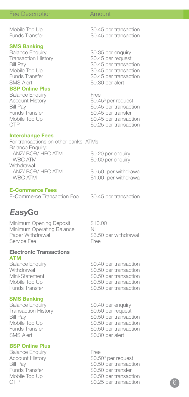# **SMS Banking**<br>Balance Enquiry

Transaction History<br>Bill Pay

#### **BSP Online Plus**

Balance Enquiry **Free** Account History<br>Bill Pav

#### **Interchange Fees**

For transactions on other banks' ATMs Balance Enquiry: ANZ/ BOB/ HFC ATM \$0.20 per enquiry<br>WBC ATM \$0.60 per enquiry \$0.60 per enquiry Withdrawal: ANZ/ BOB/ HFC ATM  $$0.50<sup>1</sup>$  per withdrawal WBC ATM \$1,00<sup>1</sup> per withdrawal

### **E-Commerce Fees**

E-Commerce Transaction Fee \$0.45 per transaction

# **EasyGo**

Minimum Opening Deposit \$10.00 Minimum Operating Balance Nil<br>Paper Withdrawal \$3 Service Fee

# **Electronic Transactions ATM**<br>**Balance Enquiry**

#### **SMS Banking**

Transaction History \$0.50 per request<br>Bill Pay \$0.50 per transac SMS Alert \$0.30 per alert

#### **BSP Online Plus**

Balance Enquiry **Free** Account History

\$3.50 per withdrawal<br>Free

Balance Enquiry  $$0.40$  per transaction<br>Withdrawal  $$0.50$  per transaction Withdrawal  $$0.50$  per transaction<br>Mini-Statement  $$0.50$  per transaction Mini-Statement \$0.50 per transaction<br>Mobile Top Up \$0.50 per transaction Mobile Top Up  $$0.50$  per transaction<br>Funds Transfer  $$0.50$  per transaction \$0.50 per transaction

Balance Enquiry \$0.40 per enquiry Bill Pay \$0.50 per transaction \$0.50 per transaction Funds Transfer  $$0.50$  per transaction

 $$0.50$ <sup>3</sup> per request Bill Pay \$0.50 per transaction Funds Transfer \$0.50 per transfer Mobile Top Up  $$0.50$  per transaction OTP \$0.25 per transaction

Mobile Top Up  $$0.45$  per transaction<br>Funds Transfer  $$0.45$  per transaction \$0.45 per transaction

\$0.35 per enquiry<br>\$0.45 per request Bill Pay \$0.45 per transaction Mobile Top Up  $$0.45$  per transaction<br>Funds Transfer  $$0.45$  per transaction Funds Transfer  $$0.45$  per transaction<br>SMS Alert \$0.30 per alert \$0.30 per alert

 $$0.45^3$  per request Bill Pay  $$0.45$  per transaction<br>Funds Transfer  $$0.45$  per transfer Funds Transfer \$0.45 per transfer Mobile Top Up  $$0.45$  per transaction<br>OTP  $$0.25$  per transaction \$0.25 per transaction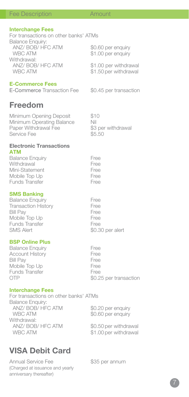#### **Interchange Fees**

For transactions on other banks' ATMs Balance Enquiry: ANZ/ BOB<sup>'</sup> HFC ATM \$0.60 per enquiry<br>WBC ATM \$1.00 per enquiry \$1.00 per enquiry Withdrawal:<br>ANZ/ BOB/ HFC ATM ANZ/ BOB/ HFC ATM \$1.00 per withdrawal<br>WBC ATM \$1.50 per withdrawal \$1.50 per withdrawal

#### **E-Commerce Fees**

E-Commerce Transaction Fee \$0.45 per transaction

## **Freedom**

Minimum Opening Deposit \$10 Minimum Operating Balance Nil Paper Withdrawal Fee \$3 per withdrawal Service Fee

#### **Electronic Transactions ATM**

| <b>Balance Enguiry</b> | Free |
|------------------------|------|
| Withdrawal             | Free |
| Mini-Statement         | Free |
| Mobile Top Up          | Free |
| <b>Funds Transfer</b>  | Free |
|                        |      |

#### **SMS Banking**

| <b>Balance Enguiry</b>     | Free             |
|----------------------------|------------------|
| <b>Transaction History</b> | Free             |
| <b>Bill Pay</b>            | Free             |
| Mobile Top Up              | Free             |
| <b>Funds Transfer</b>      | Free             |
| <b>SMS Alert</b>           | \$0.30 per alert |

#### **BSP Online Plus**

Balance Enquiry<br>Account History<br>Free Account History Free Bill Pay<br>Mobile Top Up Free<br>Free Mobile Top Up<br>Funds Transfer Free Funds Transfer<br>OTP \$0.25 per transaction

#### **Interchange Fees**

For transactions on other banks' ATMs Balance Enquiry: ANZ/ BOB/ HFC ATM \$0.20 per enquiry WBC ATM \$0.60 per enquiry Withdrawal: ANZ/ BOB/ HFC ATM \$0.50 per withdrawal WBC ATM  $$1.00$  per withdrawal

# **VISA Debit Card**

Annual Service Fee \$35 per annum (Charged at issuance and yearly anniversary thereafter)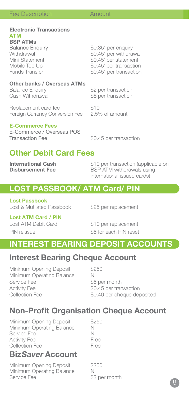#### **Electronic Transactions ATM BSP ATMs**  Balance Enquiry

Withdrawal<br>Mini-Statement Mini-Statement \$0.45<sup>4</sup> per statement<br>Mobile Top Up \$0.45<sup>4</sup> per transaction Funds Transfer

**Other banks / Overseas ATMs**<br>Balance Enquiry Balance Enquiry  $$2$  per transaction<br>Cash Withdrawal  $$8$  per transaction

Replacement card fee \$10<br>Foreign Currency Conversion Fee 2.5% of amount Foreign Currency Conversion Fee

#### **E-Commerce Fees**

E-Commerce / Overseas POS<br>Transaction Fee

\$8 per transaction

 $$0.35<sup>4</sup>$  per enquirv

 $$0.45<sup>4</sup>$  per withdrawal

\$0.45<sup>4</sup> per transaction

 $$0.45<sup>4</sup>$  per transaction

\$0.45 per transaction

# **Other Debit Card Fees**

**International Cash**  $$10$  per transaction (applicable on<br> **Dishursement Fee** BSP ATM withdrawals using **BSP ATM withdrawals using** international issued cards)

# **LOST PASSBOOK/ ATM Card/ PIN**

**Lost Passbook** Lost & Mutilated Passbook \$25 per replacement

**Lost ATM Card / PIN** Lost ATM Debit Card \$10 per replacement

PIN reissue  $\$5$  for each PIN reset

# **INTEREST BEARING DEPOSIT ACCOUNTS**

# **Interest Bearing Cheque Account**

Minimum Opening Deposit \$250 Minimum Operating Balance Nil Service Fee \$5 per month Activity Fee  $\$0.45$  per transaction Collection Fee  $$0.40$  per cheque deposited

# **Non-Profit Organisation Cheque Account**

Minimum Opening Deposit  $$250$ <br>Minimum Operating Balance Nil Minimum Operating Balance Nil<br>Service Fee Service Fee<br>Activity Fee Activity Fee<br>Collection Fee Collection Fee

# **BizSaver Account**

Minimum Opening Deposit \$250<br>Minimum Operating Balance Nil Minimum Operating Balance<br>Service Fee

\$2 per month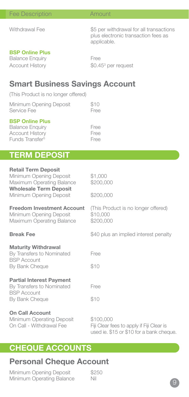Withdrawal Fee  $\frac{1}{5}$  S5 per withdrawal for all transactions plus electronic transaction fees as applicable.

### **BSP Online Plus**

Balance Enquiry Free Account History

 $$0.45$ <sup>3</sup> per request

# **Smart Business Savings Account**

(This Product is no longer offered)

| Minimum Opening Deposit | \$10 |
|-------------------------|------|
| Service Fee             | Free |
|                         |      |

### **BSP Online Plus**

| <b>Balance Enguiry</b>      | Free |
|-----------------------------|------|
| Account History             | Free |
| Funds Transfer <sup>5</sup> | Free |

# **TERM DEPOSIT**

| <b>Retail Term Deposit</b><br>Minimum Opening Deposit<br>Maximum Operating Balance                   | \$1,000<br>\$200,000                                                                               |
|------------------------------------------------------------------------------------------------------|----------------------------------------------------------------------------------------------------|
| <b>Wholesale Term Deposit</b><br>Minimum Opening Deposit                                             | \$200,000                                                                                          |
| <b>Freedom Investment Account</b><br>Minimum Opening Deposit<br>Maximum Operating Balance            | (This Product is no longer offered)<br>\$10,000<br>\$200,000                                       |
| <b>Break Fee</b>                                                                                     | \$40 plus an implied interest penalty                                                              |
| <b>Maturity Withdrawal</b><br>By Transfers to Nominated<br><b>BSP Account</b><br>By Bank Cheque      | Free<br>\$10                                                                                       |
| <b>Partial Interest Payment</b><br>By Transfers to Nominated<br><b>BSP Account</b><br>By Bank Cheque | Free<br>\$10                                                                                       |
| <b>On Call Account</b><br>Minimum Operating Deposit<br>On Call - Withdrawal Fee                      | \$100,000<br>Fiji Clear fees to apply if Fiji Clear is<br>used ie. \$15 or \$10 for a bank cheque. |

# **CHEQUE ACCOUNTS**

# **Personal Cheque Account**

Minimum Opening Deposit \$250 Minimum Operating Balance Nil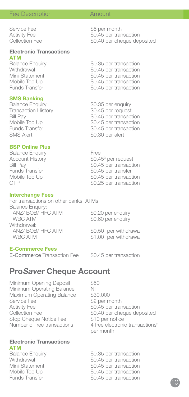Service Fee  $$5$  per month<br>Activity Fee  $$0.45$  per tran Activity Fee  $$0.45$  per transaction<br>Collection Fee  $$0.40$  per cheque der

# **Electronic Transactions ATM**<br>Balance Enquiry

Balance Enquiry  $$0.35$  per transaction<br>Withdrawal  $$0.45$  per transaction Withdrawal  $$0.45$  per transaction<br>Mini-Statement  $$0.45$  per transaction Mini-Statement \$0.45 per transaction<br>Mobile Top Up \$0.45 per transaction Mobile Top Up \$0.45 per transaction \$0.45 per transaction

#### **SMS Banking**

Balance Enquiry **\$0.35** per enquiry<br>Transaction History **\$0.45** per request Transaction History<br>Bill Pay

#### **BSP Online Plus**

Balance Enquiry **Free** Account History<br>Bill Pav

#### **Interchange Fees**

For transactions on other banks' ATMs Balance Enquiry: ANZ/ BOB/ HFC ATM \$0.20 per enquiry WBC ATM  $$0.60$  per enquiry Withdrawal: ANZ/ BOB/ HFC ATM WBC ATM

#### **E-Commerce Fees**

E-Commerce Transaction Fee \$0.45 per transaction

 $$0.50<sup>1</sup>$  per withdrawal  $$1.00<sup>1</sup>$  per withdrawal

# **ProSaver Cheque Account**

Minimum Opening Deposit \$50 Minimum Operating Balance Nil Maximum Operating Balance \$30,000 Service Fee \$2 per month Activity Fee \$0.45 per transaction<br>Collection Fee \$0.40 per cheque dep Stop Cheque Notice Fee \$10 per notice

# **Electronic Transactions ATM**<br>**Balance Enquiry**

\$0.40 per cheque deposited Number of free transactions 4 free electronic transactions<sup>2</sup> per month

Balance Enquiry  $$0.35$  per transaction<br>Withdrawal  $$0.45$  per transaction Withdrawal  $\frac{1}{2}$  \$0.45 per transaction<br>Mini-Statement \$0.45 per transaction \$0.45 per transaction Mobile Top Up  $$0.45$  per transaction<br>Funds Transfer  $$0.45$  per transaction \$0.45 per transaction

\$0.40 per cheque deposited

Bill Pay  $$0.45$  per transaction<br>Mobile Top Up  $$0.45$  per transaction Mobile Top Up  $$0.45$  per transaction<br>Funds Transfer  $$0.45$  per transaction Funds Transfer  $\$0.45$  per transaction<br>SMS Alert  $\$0.30$  per alert \$0.30 per alert

\$0.45<sup>3</sup> per request Bill Pay \$0.45 per transaction Funds Transfer \$0.45 per transfer Mobile Top Up  $$0.45$  per transaction<br>OTP  $$0.25$  per transaction \$0.25 per transaction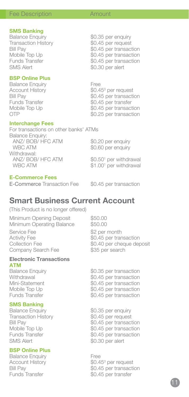\$0.35 per enquiry<br>\$0.45 per request

\$0.45 per transaction

# **SMS Banking**<br>Balance Enquiry

Transaction History<br>Bill Pav Bill Pay \$0.45 per transaction Mobile Top Up \$0.45 per transaction SMS Alert \$0.30 per alert

#### **BSP Online Plus**

Account History<br>Bill Pay

#### **Interchange Fees**

Balance Enquiry **Free**  $$0.45^3$  per request Bill Pay  $$0.45$  per transaction<br>Funds Transfer  $$0.45$  per transfer Funds Transfer \$0.45 per transfer Mobile Top Up  $$0.45$  per transaction<br>OTP  $$0.25$  per transaction \$0.25 per transaction

For transactions on other banks' ATMs Balance Enquiry: ANZ/ BOB/ HFC ATM \$0.20 per enquiry<br>WBC ATM \$0.60 per enquiry Withdrawal: ANZ/ BOB/ HFC ATM WBC ATM

\$0.60 per enquiry

 $$0.50<sup>1</sup>$  per withdrawal \$1,00<sup>1</sup> per withdrawal

#### **E-Commerce Fees**

E-Commerce Transaction Fee \$0.45 per transaction

# **Smart Business Current Account**

(This Product is no longer offered)

Minimum Opening Deposit  $$50.00$ <br>Minimum Operating Balance \$50.00 Minimum Operating Balance Service Fee  $$2$  per month<br>Activity Fee  $$0.45$  per tran

Company Search Fee

# **Electronic Transactions**

**ATM**<br>**Balance Enquiry** 

# **SMS Banking**<br>Balance Enquiry

Transaction History \$0.45 per request SMS Alert \$0.30 per alert

#### **BSP Online Plus**

Balance Enquiry **Free** Account History<br>Bill Pav

Activity Fee \$0.45 per transaction \$0.40 per cheque deposit<br>\$35 per search

Balance Enquiry  $$0.35$  per transaction<br>Withdrawal  $$0.45$  per transaction withdrawal \$0.45 per transaction<br>Mini-Statement \$0.45 per transaction Mini-Statement \$0.45 per transaction<br>Mobile Top Up \$0.45 per transaction Mobile Top Up  $$0.45$  per transaction<br>Funds Transfer  $$0.45$  per transaction \$0.45 per transaction

\$0.35 per enquiry Bill Pay **\$0.45** per transaction Mobile Top Up \$0.45 per transaction Funds Transfer \$0.45 per transaction

 $$0.45$ <sup>3</sup> per request Bill Pay<br>
Funds Transfer<br>
So 45 per transfer<br>
So 45 per transfer \$0.45 per transfer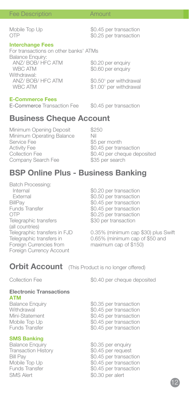Mobile Top Up  $$0.45$  per transaction<br>OTP  $$0.25$  per transaction

#### **Interchange Fees**

For transactions on other banks' ATMs Balance Enquiry: ANZ/ BOB/ HFC ATM  $$0.20$  per enquiry<br>WBC ATM  $$0.60$  per enquiry \$0.60 per enquiry Withdrawal: ANZ/ BOB/ HFC ATM \$0.50<sup>1</sup> per withdrawal WBC ATM  $$1.00<sup>1</sup>$  per withdrawal

\$0.25 per transaction

### **E-Commerce Fees**

E-Commerce Transaction Fee \$0.45 per transaction

# **Business Cheque Account**

Minimum Opening Deposit \$250 Minimum Operating Balance Nil<br>Service Fee \$5 Service Fee  $$5$  per month<br>Activity Fee  $$0.45$  per tran Activity Fee  $$0.45$  per transaction<br>Collection Fee  $$0.40$  per cheque der Company Search Fee

\$0.40 per cheque deposited<br>\$35 per search

# **BSP Online Plus - Business Banking**

Batch Processing: Internal \$0.20 per transaction External \$0.50 per transaction<br>BillPay \$0.45 per transaction BillPay \$0.45 per transaction Funds Transfer  $$0.45$  per transaction<br>OTP  $$0.25$  per transaction Telegraphic transfers (all countries) Foreign Currencies from Foreign Currency Account

\$0.25 per transaction<br>\$30 per transaction

Telegraphic transfers in FJD 0.35% (minimum cap \$30) plus Swift<br>Telegraphic transfers in 0.65% (minimum cap of \$50 and 0.65% (minimum cap of \$50 and<br>maximum cap of \$150)

## **Orbit Account** (This Product is no longer offered)

Collection Fee  $$0.40$  per cheque deposited

### **Electronic Transactions**

- 
- **ATM**<br>**Balance Enguiry**

# **SMS Banking**<br>Balance Enquiry

Transaction History \$0.45 per request<br>Bill Pav \$0.45 per transac SMS Alert \$0.30 per alert

Balance Enquiry  $$0.35$  per transaction<br>Withdrawal  $$0.45$  per transaction Withdrawal  $\frac{1}{2}$  \$0.45 per transaction<br>Mini-Statement \$0.45 per transaction Mini-Statement \$0.45 per transaction<br>
Mobile Top Up \$0.45 per transaction Mobile Top Up  $$0.45$  per transaction<br>Funds Transfer  $$0.45$  per transaction \$0.45 per transaction

Balance Enquiry **\$0.35** per enquiry<br>Transaction History **\$0.45** per request Bill Pay \$0.45 per transaction Mobile Top Up  $$0.45$  per transaction<br>Funds Transfer  $$0.45$  per transaction \$0.45 per transaction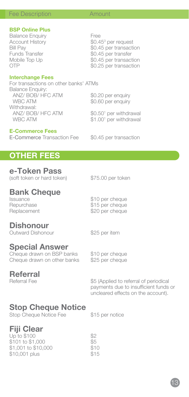### **BSP Online Plus**

Balance Enquiry **Free** Account History<br>Bill Pav Bill Pay \$0.45 per transaction Funds Transfer \$0.45 per transfer Mobile Top Up  $$0.45$  per transaction<br>OTP  $$0.25$  per transaction

#### **Interchange Fees**

For transactions on other banks' ATMs Balance Enquiry: ANZ/ BOB/ HFC ATM \$0.20 per enquiry<br>WBC ATM \$0.60 per enquiry Withdrawal: ANZ/ BOB/ HFC ATM WBC ATM

### **E-Commerce Fees**

E-Commerce Transaction Fee \$0.45 per transaction

\$0.60 per enquiry

 $$0.45$ <sup>3</sup> per request

\$0.25 per transaction

 $$0.50<sup>1</sup>$  per withdrawal  $$1.00<sup>1</sup>$  per withdrawal

# **OTHER FEES**

## **e-Token Pass**

(soft token or hard token) \$75.00 per token

\$10 per cheque

\$20 per cheque

# **Bank Cheque**

Repurchase \$15 per cheque<br>Replacement \$20 per cheque

## **Dishonour**

Outward Dishonour \$25 per item

## **Special Answer**

Cheque drawn on BSP banks \$10 per cheque Cheque drawn on other banks \$25 per cheque

# **Referral**<br>**Referral** Fee

\$5 (Applied to referral of periodical payments due to insufficient funds or

uncleared effects on the account).

# **Stop Cheque Notice**

Stop Cheque Notice Fee \$15 per notice

# **Fiji Clear**

Up to  $$100$   $$2$  $$101 to $1,000$   $$5$ \$1,001 to \$10,000 \$10 \$10,001 plus \$15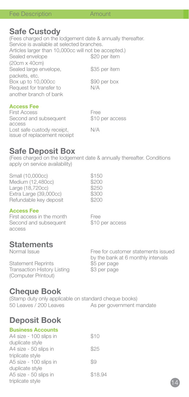## **Safe Custody**

(Fees charged on the lodgement date & annually thereafter. Service is available at selected branches. Articles larger than 10,000cc will not be accepted.)<br>Sealed envelope \$20 per item Sealed envelope (20cm x 40cm) Sealed large envelope, \$35 per item packets, etc. Box up to 10,000cc \$90 per box<br>Bequest for transfer to  $N/A$ Request for transfer to another branch of bank

#### **Access Fee**

| <b>First Access</b>          | Free            |
|------------------------------|-----------------|
| Second and subsequent        | \$10 per access |
| access                       |                 |
| Lost safe custody receipt,   | N/A             |
| issue of replacement receipt |                 |

## **Safe Deposit Box**

(Fees charged on the lodgement date & annually thereafter. Conditions apply on service availability)

| Small (10,000cc)       | \$150 |
|------------------------|-------|
| Medium (12,480cc)      | \$200 |
| Large (18,720cc)       | \$250 |
| Extra Large (39,000cc) | \$300 |
| Refundable key deposit | \$200 |
|                        |       |

### **Access Fee**

First access in the month<br>Second and subsequent<br>\$10 per access Second and subsequent access

# **Statements**<br>Normal Issue

Statement Reprints \$5 per page<br>Transaction History Listing \$3 per page Transaction History Listing (Computer Printout)

Free for customer statements issued by the bank at 6 monthly intervals<br>\$5 per page

# **Cheque Book**

(Stamp duty only applicable on standard cheque books)<br>50 Leaves / 200 Leaves As per government r As per government mandate

# **Deposit Book**

| <b>Business Accounts</b> |         |
|--------------------------|---------|
| A4 size - 100 slips in   | \$10    |
| duplicate style          |         |
| A4 size - 50 slips in    | \$25    |
| triplicate style         |         |
| A5 size - 100 slips in   | 89      |
| duplicate style          |         |
| A5 size - 50 slips in    | \$18.94 |
| triplicate style         |         |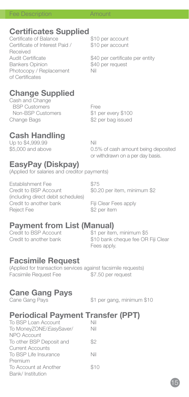# **Certificates Supplied**

Contractor of Balance \$10 per account Certificate of Interest Paid / \$10 per account Received Bankers Opinion **\$40 per request**<br>Photocopy / Replacement Nill Photocopy / Replacement of Certificates

Audit Certificate  $$40$  per certificate per entity

# **Change Supplied**

Cash and Change BSP Customers<br>
Non-BSP Customers<br>
\$1 per every \$100 Non-BSP Customers Change Bags 62 per bag issued

# **Cash Handling**

Up to \$4,999.99<br>\$5.000 and above 0.5

0.5% of cash amount being deposited or withdrawn on a per day basis.

# **EasyPay (Diskpay)**

(Applied for salaries and creditor payments)

Establishment Fee \$75<br>Credit to BSP Account \$0.2 (including direct debit schedules) Credit to another bank Fiji Clear Fees apply Reject Fee \$2 per item

\$0.20 per item, minimum \$2

# **Payment from List (Manual)**<br>Credit to BSP Account **S1** per iter

\$1 per item, minimum \$5 Credit to another bank \$10 bank cheque fee OR Fiji Clear Fees apply.

# **Facsimile Request**

(Applied for transaction services against facsimile requests) Facsimile Request Fee \$7.50 per request

# **Cane Gang Pays**

\$1 per gang, minimum \$10

# **Periodical Payment Transfer (PPT)**

| To BSP Loan Account      | Nil  |
|--------------------------|------|
| To MoneyZONE/EasySaver/  | Nil  |
| NPO Account              |      |
| To other BSP Deposit and | \$2  |
| <b>Current Accounts</b>  |      |
| To BSP Life Insurance    | Nil  |
| Premium                  |      |
| To Account at Another    | \$10 |
| Bank/Institution         |      |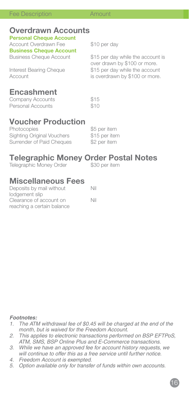# **Overdrawn Accounts**

**Personal Cheque Account** Account Overdrawn Fee \$10 per day

**Business Cheque Account**

Business Cheque Account \$15 per day while the account is over drawn by \$100 or more.<br>Interest Bearing Cheque \$15 per day while the accour Interest Bearing Cheque \$15 per day while the account<br>Account is overdrawn by \$100 or more is overdrawn by \$100 or more.

# **Encashment**

Company Accounts \$15 Personal Accounts **\$10** 

# **Voucher Production**

Photocopies **\$5 per item** Sighting Original Vouchers \$15 per item Surrender of Paid Cheques \$2 per item

# **Telegraphic Money Order Postal Notes**<br>Telegraphic Money Order \$30 per item

Telegraphic Money Order

# **Miscellaneous Fees**

| Deposits by mail without   | Nil |
|----------------------------|-----|
| lodgement slip             |     |
| Clearance of account on    | Nil |
| reaching a certain balance |     |

### *Footnotes:*

- *1. The ATM withdrawal fee of \$0.45 will be charged at the end of the month, but is waived for the Freedom Account.*
- *2. This applies to electronic transactions performed on BSP EFTPoS, ATM, SMS, BSP Online Plus and E-Commerce transactions.*
- *3. While we have an approved fee for account history requests, we will continue to offer this as a free service until further notice.*
- *4. Freedom Account is exempted.*
- *5. Option available only for transfer of funds within own accounts.*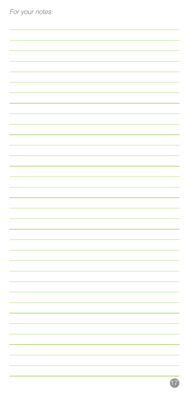| For your notes: |  |  |
|-----------------|--|--|
|                 |  |  |
|                 |  |  |
|                 |  |  |
|                 |  |  |
|                 |  |  |
|                 |  |  |
|                 |  |  |
|                 |  |  |
|                 |  |  |
|                 |  |  |
|                 |  |  |
|                 |  |  |
|                 |  |  |
|                 |  |  |
|                 |  |  |
|                 |  |  |
|                 |  |  |
|                 |  |  |
|                 |  |  |
|                 |  |  |
|                 |  |  |
|                 |  |  |
|                 |  |  |
|                 |  |  |
|                 |  |  |
|                 |  |  |
|                 |  |  |
|                 |  |  |
|                 |  |  |
|                 |  |  |
|                 |  |  |
|                 |  |  |
|                 |  |  |
|                 |  |  |